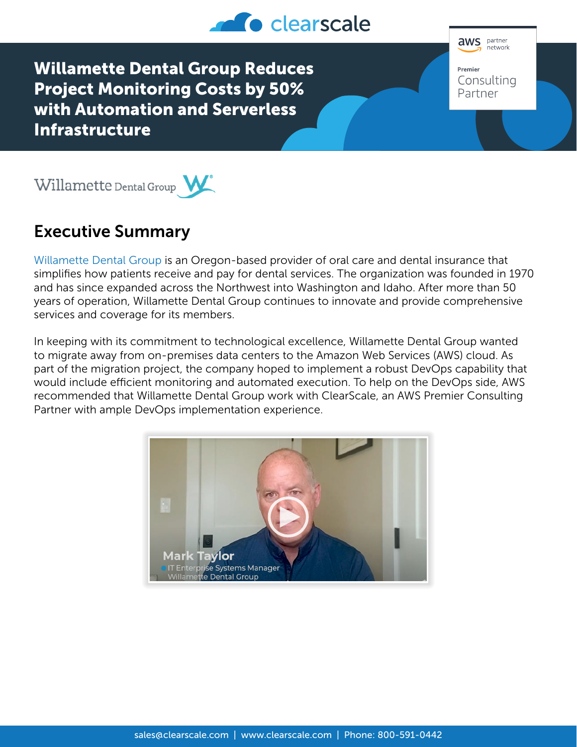

Willamette Dental Group Reduces Project Monitoring Costs by 50% with Automation and Serverless Infrastructure





## Executive Summary

[Willamette Dental Group](https://willamettedental.com/) is an Oregon-based provider of oral care and dental insurance that simplifies how patients receive and pay for dental services. The organization was founded in 1970 and has since expanded across the Northwest into Washington and Idaho. After more than 50 years of operation, Willamette Dental Group continues to innovate and provide comprehensive services and coverage for its members.

In keeping with its commitment to technological excellence, Willamette Dental Group wanted to migrate away from on-premises data centers to the Amazon Web Services (AWS) cloud. As part of the migration project, the company hoped to implement a robust DevOps capability that would include efficient monitoring and automated execution. To help on the DevOps side, AWS recommended that Willamette Dental Group work with ClearScale, an AWS Premier Consulting Partner with ample DevOps implementation experience.

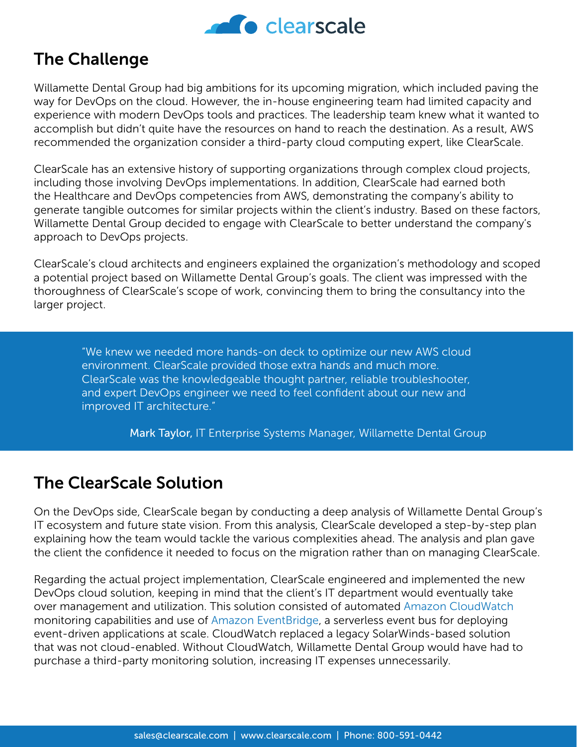

## The Challenge

Willamette Dental Group had big ambitions for its upcoming migration, which included paving the way for DevOps on the cloud. However, the in-house engineering team had limited capacity and experience with modern DevOps tools and practices. The leadership team knew what it wanted to accomplish but didn't quite have the resources on hand to reach the destination. As a result, AWS recommended the organization consider a third-party cloud computing expert, like ClearScale.

ClearScale has an extensive history of supporting organizations through complex cloud projects, including those involving DevOps implementations. In addition, ClearScale had earned both the Healthcare and DevOps competencies from AWS, demonstrating the company's ability to generate tangible outcomes for similar projects within the client's industry. Based on these factors, Willamette Dental Group decided to engage with ClearScale to better understand the company's approach to DevOps projects.

ClearScale's cloud architects and engineers explained the organization's methodology and scoped a potential project based on Willamette Dental Group's goals. The client was impressed with the thoroughness of ClearScale's scope of work, convincing them to bring the consultancy into the larger project.

"We knew we needed more hands-on deck to optimize our new AWS cloud environment. ClearScale provided those extra hands and much more. ClearScale was the knowledgeable thought partner, reliable troubleshooter, and expert DevOps engineer we need to feel confident about our new and improved IT architecture."

Mark Taylor, IT Enterprise Systems Manager, Willamette Dental Group

## The ClearScale Solution

On the DevOps side, ClearScale began by conducting a deep analysis of Willamette Dental Group's IT ecosystem and future state vision. From this analysis, ClearScale developed a step-by-step plan explaining how the team would tackle the various complexities ahead. The analysis and plan gave the client the confidence it needed to focus on the migration rather than on managing ClearScale.

Regarding the actual project implementation, ClearScale engineered and implemented the new DevOps cloud solution, keeping in mind that the client's IT department would eventually take over management and utilization. This solution consisted of automated [Amazon CloudWatch](https://aws.amazon.com/cloudwatch/) monitoring capabilities and use of [Amazon EventBridge](https://aws.amazon.com/eventbridge/), a serverless event bus for deploying event-driven applications at scale. CloudWatch replaced a legacy SolarWinds-based solution that was not cloud-enabled. Without CloudWatch, Willamette Dental Group would have had to purchase a third-party monitoring solution, increasing IT expenses unnecessarily.